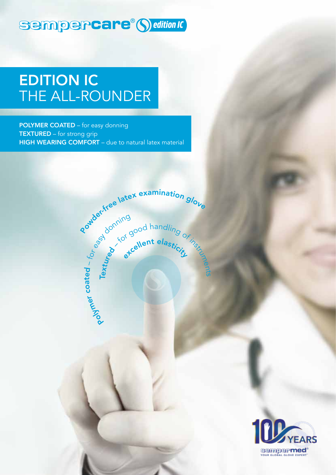### sempercare® () edition IC

# EDITION IC THE ALL-ROUNDER

POLYMER COATED - for easy donning TEXTURED – for strong grip HIGH WEARING COMFORT - due to natural latex material

Textur<sub>eo</sub>

de donning

Po  $\bar{z}$ mer

co a t e ত  $\mathcal{I}_{\mathcal{A}}$ for

Provider-free latex examination glove

For good handling or instrument and the straining

etcellent elasticity

ว<br>จี